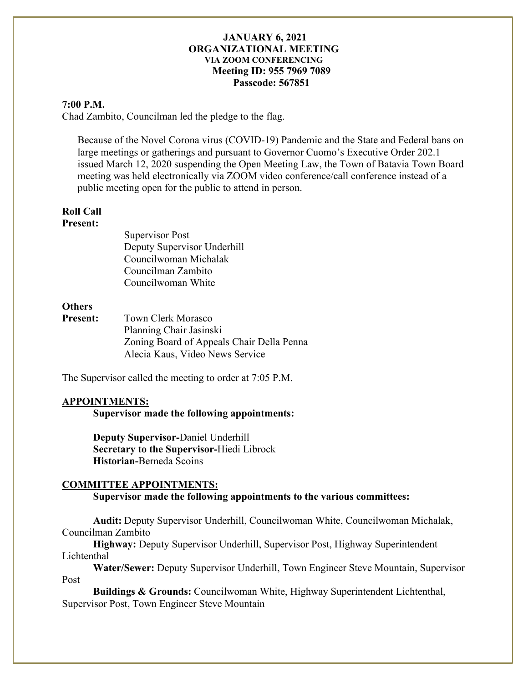#### **7:00 P.M.**

Chad Zambito, Councilman led the pledge to the flag.

Because of the Novel Corona virus (COVID-19) Pandemic and the State and Federal bans on large meetings or gatherings and pursuant to Governor Cuomo's Executive Order 202.1 issued March 12, 2020 suspending the Open Meeting Law, the Town of Batavia Town Board meeting was held electronically via ZOOM video conference/call conference instead of a public meeting open for the public to attend in person.

# **Roll Call**

#### **Present:**

Supervisor Post Deputy Supervisor Underhill Councilwoman Michalak Councilman Zambito Councilwoman White

## **Others**

**Present:** Town Clerk Morasco Planning Chair Jasinski Zoning Board of Appeals Chair Della Penna Alecia Kaus, Video News Service

The Supervisor called the meeting to order at 7:05 P.M.

## **APPOINTMENTS:**

**Supervisor made the following appointments:**

**Deputy Supervisor-**Daniel Underhill **Secretary to the Supervisor-**Hiedi Librock **Historian-**Berneda Scoins

## **COMMITTEE APPOINTMENTS:**

**Supervisor made the following appointments to the various committees:**

**Audit:** Deputy Supervisor Underhill, Councilwoman White, Councilwoman Michalak, Councilman Zambito

**Highway:** Deputy Supervisor Underhill, Supervisor Post, Highway Superintendent Lichtenthal

**Water/Sewer:** Deputy Supervisor Underhill, Town Engineer Steve Mountain, Supervisor Post

**Buildings & Grounds:** Councilwoman White, Highway Superintendent Lichtenthal, Supervisor Post, Town Engineer Steve Mountain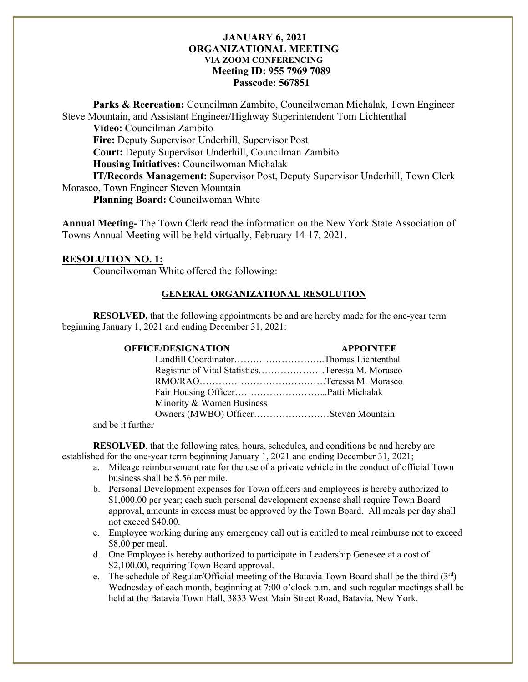**Parks & Recreation:** Councilman Zambito, Councilwoman Michalak, Town Engineer Steve Mountain, and Assistant Engineer/Highway Superintendent Tom Lichtenthal

**Video:** Councilman Zambito

**Fire:** Deputy Supervisor Underhill, Supervisor Post

**Court:** Deputy Supervisor Underhill, Councilman Zambito

**Housing Initiatives:** Councilwoman Michalak

**IT/Records Management:** Supervisor Post, Deputy Supervisor Underhill, Town Clerk Morasco, Town Engineer Steven Mountain

**Planning Board:** Councilwoman White

**Annual Meeting-** The Town Clerk read the information on the New York State Association of Towns Annual Meeting will be held virtually, February 14-17, 2021.

# **RESOLUTION NO. 1:**

Councilwoman White offered the following:

# **GENERAL ORGANIZATIONAL RESOLUTION**

**RESOLVED,** that the following appointments be and are hereby made for the one-year term beginning January 1, 2021 and ending December 31, 2021:

| <b>OFFICE/DESIGNATION</b>                       | <b>APPOINTEE</b> |
|-------------------------------------------------|------------------|
| Landfill CoordinatorThomas Lichtenthal          |                  |
| Registrar of Vital StatisticsTeressa M. Morasco |                  |
|                                                 |                  |
|                                                 |                  |
| Minority & Women Business                       |                  |
|                                                 |                  |
|                                                 |                  |

and be it further

**RESOLVED**, that the following rates, hours, schedules, and conditions be and hereby are established for the one-year term beginning January 1, 2021 and ending December 31, 2021;

- a. Mileage reimbursement rate for the use of a private vehicle in the conduct of official Town business shall be \$.56 per mile.
- b. Personal Development expenses for Town officers and employees is hereby authorized to \$1,000.00 per year; each such personal development expense shall require Town Board approval, amounts in excess must be approved by the Town Board. All meals per day shall not exceed \$40.00.
- c. Employee working during any emergency call out is entitled to meal reimburse not to exceed \$8.00 per meal.
- d. One Employee is hereby authorized to participate in Leadership Genesee at a cost of \$2,100.00, requiring Town Board approval.
- e. The schedule of Regular/Official meeting of the Batavia Town Board shall be the third  $(3<sup>rd</sup>)$ Wednesday of each month, beginning at 7:00 o'clock p.m. and such regular meetings shall be held at the Batavia Town Hall, 3833 West Main Street Road, Batavia, New York.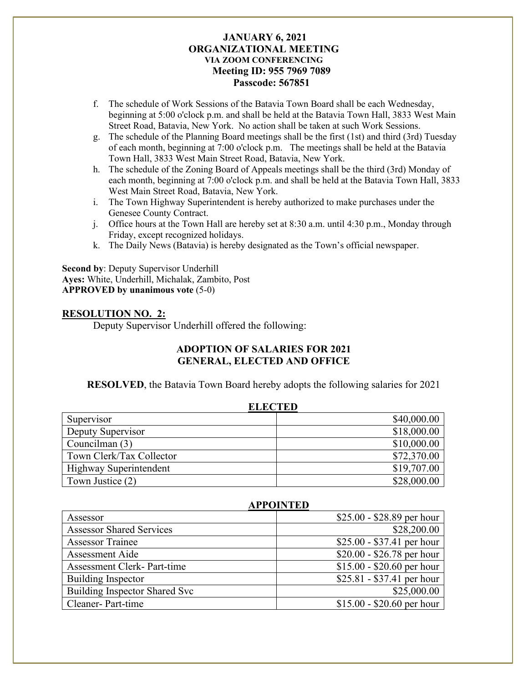- f. The schedule of Work Sessions of the Batavia Town Board shall be each Wednesday, beginning at 5:00 o'clock p.m. and shall be held at the Batavia Town Hall, 3833 West Main Street Road, Batavia, New York. No action shall be taken at such Work Sessions.
- g. The schedule of the Planning Board meetings shall be the first (1st) and third (3rd) Tuesday of each month, beginning at 7:00 o'clock p.m. The meetings shall be held at the Batavia Town Hall, 3833 West Main Street Road, Batavia, New York.
- h. The schedule of the Zoning Board of Appeals meetings shall be the third (3rd) Monday of each month, beginning at 7:00 o'clock p.m. and shall be held at the Batavia Town Hall, 3833 West Main Street Road, Batavia, New York.
- i. The Town Highway Superintendent is hereby authorized to make purchases under the Genesee County Contract.
- j. Office hours at the Town Hall are hereby set at 8:30 a.m. until 4:30 p.m., Monday through Friday, except recognized holidays.
- k. The Daily News (Batavia) is hereby designated as the Town's official newspaper.

**Second by**: Deputy Supervisor Underhill **Ayes:** White, Underhill, Michalak, Zambito, Post **APPROVED by unanimous vote** (5-0)

#### **RESOLUTION NO. 2:**

Deputy Supervisor Underhill offered the following:

# **ADOPTION OF SALARIES FOR 2021 GENERAL, ELECTED AND OFFICE**

**RESOLVED**, the Batavia Town Board hereby adopts the following salaries for 2021

| <b>ELECTED</b>           |             |  |
|--------------------------|-------------|--|
| Supervisor               | \$40,000.00 |  |
| Deputy Supervisor        | \$18,000.00 |  |
| Councilman (3)           | \$10,000.00 |  |
| Town Clerk/Tax Collector | \$72,370.00 |  |
| Highway Superintendent   | \$19,707.00 |  |
| Town Justice (2)         | \$28,000.00 |  |

| <b>APPOINTED</b>                  |                            |  |
|-----------------------------------|----------------------------|--|
| Assessor                          | $$25.00 - $28.89$ per hour |  |
| <b>Assessor Shared Services</b>   | \$28,200.00                |  |
| <b>Assessor Trainee</b>           | $$25.00 - $37.41$ per hour |  |
| Assessment Aide                   | $$20.00 - $26.78$ per hour |  |
| <b>Assessment Clerk-Part-time</b> | $$15.00 - $20.60$ per hour |  |
| <b>Building Inspector</b>         | $$25.81 - $37.41$ per hour |  |
| Building Inspector Shared Svc     | \$25,000.00                |  |
| Cleaner-Part-time                 | $$15.00 - $20.60$ per hour |  |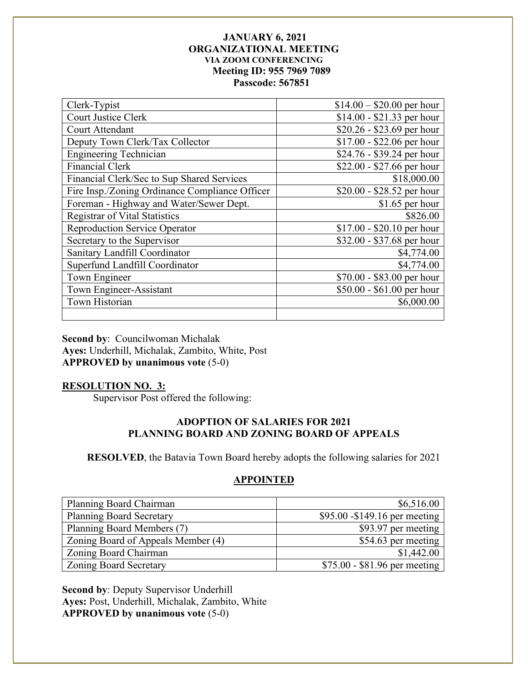| Clerk-Typist                                   | $$14.00 - $20.00$ per hour |
|------------------------------------------------|----------------------------|
| <b>Court Justice Clerk</b>                     | $$14.00 - $21.33$ per hour |
| Court Attendant                                | \$20.26 - \$23.69 per hour |
| Deputy Town Clerk/Tax Collector                | $$17.00 - $22.06$ per hour |
| <b>Engineering Technician</b>                  | $$24.76 - $39.24$ per hour |
| <b>Financial Clerk</b>                         | \$22.00 - \$27.66 per hour |
| Financial Clerk/Sec to Sup Shared Services     | \$18,000.00                |
| Fire Insp./Zoning Ordinance Compliance Officer | \$20.00 - \$28.52 per hour |
| Foreman - Highway and Water/Sewer Dept.        | $$1.65$ per hour           |
| <b>Registrar of Vital Statistics</b>           | \$826.00                   |
| <b>Reproduction Service Operator</b>           | $$17.00 - $20.10$ per hour |
| Secretary to the Supervisor                    | \$32.00 - \$37.68 per hour |
| Sanitary Landfill Coordinator                  | \$4,774.00                 |
| Superfund Landfill Coordinator                 | \$4,774.00                 |
| Town Engineer                                  | \$70.00 - \$83.00 per hour |
| Town Engineer-Assistant                        | \$50.00 - \$61.00 per hour |
| Town Historian                                 | \$6,000.00                 |
|                                                |                            |

**Second by**: Councilwoman Michalak **Ayes:** Underhill, Michalak, Zambito, White, Post **APPROVED by unanimous vote** (5-0)

# **RESOLUTION NO. 3:**

Supervisor Post offered the following:

# **ADOPTION OF SALARIES FOR 2021 PLANNING BOARD AND ZONING BOARD OF APPEALS**

**RESOLVED**, the Batavia Town Board hereby adopts the following salaries for 2021

## **APPOINTED**

| Planning Board Chairman            | \$6,516.00                     |
|------------------------------------|--------------------------------|
| <b>Planning Board Secretary</b>    | \$95.00 - \$149.16 per meeting |
| Planning Board Members (7)         | \$93.97 per meeting            |
| Zoning Board of Appeals Member (4) | \$54.63 per meeting            |
| Zoning Board Chairman              | \$1,442.00                     |
| <b>Zoning Board Secretary</b>      | \$75.00 - \$81.96 per meeting  |

**Second by**: Deputy Supervisor Underhill **Ayes:** Post, Underhill, Michalak, Zambito, White **APPROVED by unanimous vote** (5-0)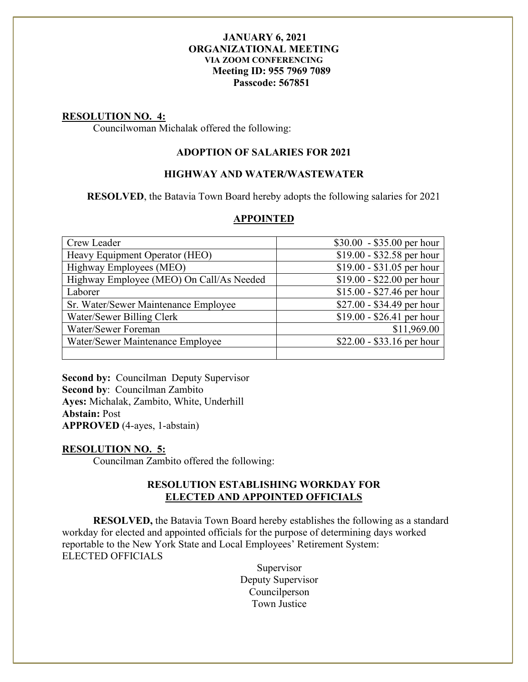#### **RESOLUTION NO. 4:**

Councilwoman Michalak offered the following:

## **ADOPTION OF SALARIES FOR 2021**

#### **HIGHWAY AND WATER/WASTEWATER**

**RESOLVED**, the Batavia Town Board hereby adopts the following salaries for 2021

#### **APPOINTED**

| Crew Leader                              |                            |
|------------------------------------------|----------------------------|
|                                          | $$30.00 - $35.00$ per hour |
| Heavy Equipment Operator (HEO)           | \$19.00 - \$32.58 per hour |
| Highway Employees (MEO)                  | $$19.00 - $31.05$ per hour |
| Highway Employee (MEO) On Call/As Needed | $$19.00 - $22.00$ per hour |
| Laborer                                  | $$15.00 - $27.46$ per hour |
| Sr. Water/Sewer Maintenance Employee     | \$27.00 - \$34.49 per hour |
| Water/Sewer Billing Clerk                | $$19.00 - $26.41$ per hour |
| Water/Sewer Foreman                      | \$11,969.00                |
| Water/Sewer Maintenance Employee         | $$22.00 - $33.16$ per hour |
|                                          |                            |

**Second by:** Councilman Deputy Supervisor **Second by**: Councilman Zambito **Ayes:** Michalak, Zambito, White, Underhill **Abstain:** Post **APPROVED** (4-ayes, 1-abstain)

#### **RESOLUTION NO. 5:**

Councilman Zambito offered the following:

#### **RESOLUTION ESTABLISHING WORKDAY FOR ELECTED AND APPOINTED OFFICIALS**

**RESOLVED,** the Batavia Town Board hereby establishes the following as a standard workday for elected and appointed officials for the purpose of determining days worked reportable to the New York State and Local Employees' Retirement System: ELECTED OFFICIALS

> Supervisor Deputy Supervisor Councilperson Town Justice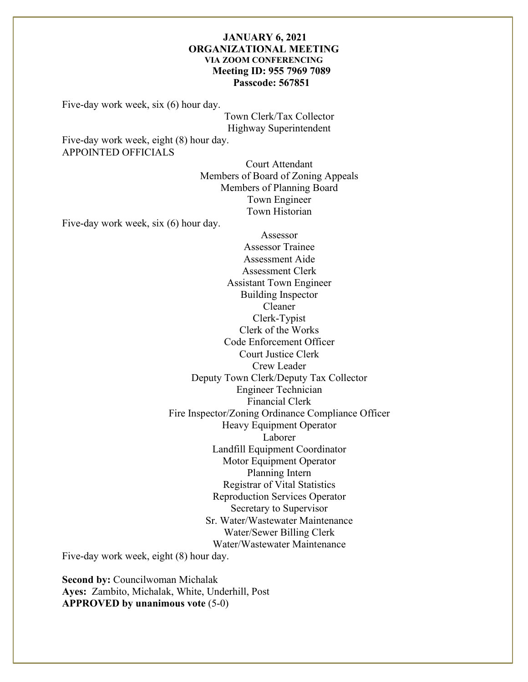Five-day work week, six (6) hour day.

Town Clerk/Tax Collector Highway Superintendent

Five-day work week, eight (8) hour day. APPOINTED OFFICIALS

> Court Attendant Members of Board of Zoning Appeals Members of Planning Board Town Engineer Town Historian

Five-day work week, six (6) hour day.

Assessor Assessor Trainee Assessment Aide Assessment Clerk Assistant Town Engineer Building Inspector Cleaner Clerk-Typist Clerk of the Works Code Enforcement Officer Court Justice Clerk Crew Leader Deputy Town Clerk/Deputy Tax Collector Engineer Technician Financial Clerk Fire Inspector/Zoning Ordinance Compliance Officer Heavy Equipment Operator Laborer Landfill Equipment Coordinator Motor Equipment Operator Planning Intern Registrar of Vital Statistics Reproduction Services Operator Secretary to Supervisor Sr. Water/Wastewater Maintenance Water/Sewer Billing Clerk Water/Wastewater Maintenance

Five-day work week, eight (8) hour day.

**Second by: Councilwoman Michalak Ayes:** Zambito, Michalak, White, Underhill, Post **APPROVED by unanimous vote** (5-0)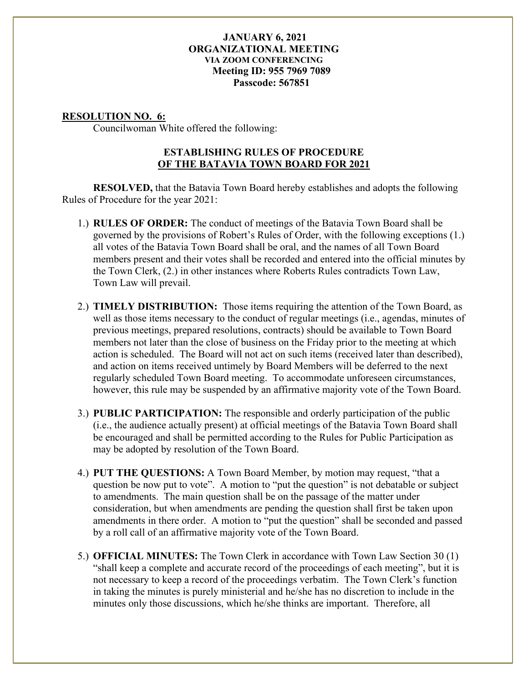## **RESOLUTION NO. 6:**

Councilwoman White offered the following:

# **ESTABLISHING RULES OF PROCEDURE OF THE BATAVIA TOWN BOARD FOR 2021**

**RESOLVED,** that the Batavia Town Board hereby establishes and adopts the following Rules of Procedure for the year 2021:

- 1.) **RULES OF ORDER:** The conduct of meetings of the Batavia Town Board shall be governed by the provisions of Robert's Rules of Order, with the following exceptions (1.) all votes of the Batavia Town Board shall be oral, and the names of all Town Board members present and their votes shall be recorded and entered into the official minutes by the Town Clerk, (2.) in other instances where Roberts Rules contradicts Town Law, Town Law will prevail.
- 2.) **TIMELY DISTRIBUTION:** Those items requiring the attention of the Town Board, as well as those items necessary to the conduct of regular meetings (i.e., agendas, minutes of previous meetings, prepared resolutions, contracts) should be available to Town Board members not later than the close of business on the Friday prior to the meeting at which action is scheduled. The Board will not act on such items (received later than described), and action on items received untimely by Board Members will be deferred to the next regularly scheduled Town Board meeting. To accommodate unforeseen circumstances, however, this rule may be suspended by an affirmative majority vote of the Town Board.
- 3.) **PUBLIC PARTICIPATION:** The responsible and orderly participation of the public (i.e., the audience actually present) at official meetings of the Batavia Town Board shall be encouraged and shall be permitted according to the Rules for Public Participation as may be adopted by resolution of the Town Board.
- 4.) **PUT THE QUESTIONS:** A Town Board Member, by motion may request, "that a question be now put to vote". A motion to "put the question" is not debatable or subject to amendments. The main question shall be on the passage of the matter under consideration, but when amendments are pending the question shall first be taken upon amendments in there order. A motion to "put the question" shall be seconded and passed by a roll call of an affirmative majority vote of the Town Board.
- 5.) **OFFICIAL MINUTES:** The Town Clerk in accordance with Town Law Section 30 (1) "shall keep a complete and accurate record of the proceedings of each meeting", but it is not necessary to keep a record of the proceedings verbatim. The Town Clerk's function in taking the minutes is purely ministerial and he/she has no discretion to include in the minutes only those discussions, which he/she thinks are important. Therefore, all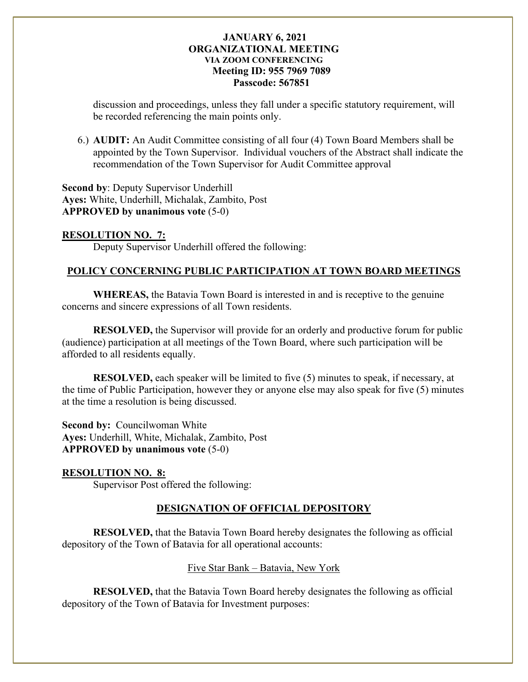discussion and proceedings, unless they fall under a specific statutory requirement, will be recorded referencing the main points only.

6.) **AUDIT:** An Audit Committee consisting of all four (4) Town Board Members shall be appointed by the Town Supervisor. Individual vouchers of the Abstract shall indicate the recommendation of the Town Supervisor for Audit Committee approval

**Second by**: Deputy Supervisor Underhill **Ayes:** White, Underhill, Michalak, Zambito, Post **APPROVED by unanimous vote** (5-0)

# **RESOLUTION NO. 7:**

Deputy Supervisor Underhill offered the following:

# **POLICY CONCERNING PUBLIC PARTICIPATION AT TOWN BOARD MEETINGS**

**WHEREAS,** the Batavia Town Board is interested in and is receptive to the genuine concerns and sincere expressions of all Town residents.

**RESOLVED,** the Supervisor will provide for an orderly and productive forum for public (audience) participation at all meetings of the Town Board, where such participation will be afforded to all residents equally.

**RESOLVED,** each speaker will be limited to five (5) minutes to speak, if necessary, at the time of Public Participation, however they or anyone else may also speak for five (5) minutes at the time a resolution is being discussed.

**Second by: Councilwoman White Ayes:** Underhill, White, Michalak, Zambito, Post **APPROVED by unanimous vote** (5-0)

# **RESOLUTION NO. 8:**

Supervisor Post offered the following:

# **DESIGNATION OF OFFICIAL DEPOSITORY**

**RESOLVED,** that the Batavia Town Board hereby designates the following as official depository of the Town of Batavia for all operational accounts:

# Five Star Bank – Batavia, New York

**RESOLVED,** that the Batavia Town Board hereby designates the following as official depository of the Town of Batavia for Investment purposes: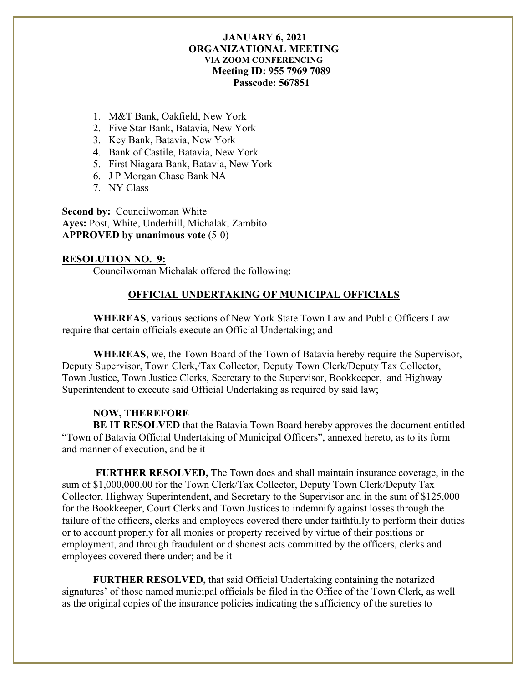- 1. M&T Bank, Oakfield, New York
- 2. Five Star Bank, Batavia, New York
- 3. Key Bank, Batavia, New York
- 4. Bank of Castile, Batavia, New York
- 5. First Niagara Bank, Batavia, New York
- 6. J P Morgan Chase Bank NA
- 7. NY Class

**Second by:** Councilwoman White **Ayes:** Post, White, Underhill, Michalak, Zambito **APPROVED by unanimous vote** (5-0)

#### **RESOLUTION NO. 9:**

Councilwoman Michalak offered the following:

# **OFFICIAL UNDERTAKING OF MUNICIPAL OFFICIALS**

**WHEREAS**, various sections of New York State Town Law and Public Officers Law require that certain officials execute an Official Undertaking; and

**WHEREAS**, we, the Town Board of the Town of Batavia hereby require the Supervisor, Deputy Supervisor, Town Clerk,/Tax Collector, Deputy Town Clerk/Deputy Tax Collector, Town Justice, Town Justice Clerks, Secretary to the Supervisor, Bookkeeper, and Highway Superintendent to execute said Official Undertaking as required by said law;

## **NOW, THEREFORE**

**BE IT RESOLVED** that the Batavia Town Board hereby approves the document entitled "Town of Batavia Official Undertaking of Municipal Officers", annexed hereto, as to its form and manner of execution, and be it

**FURTHER RESOLVED,** The Town does and shall maintain insurance coverage, in the sum of \$1,000,000.00 for the Town Clerk/Tax Collector, Deputy Town Clerk/Deputy Tax Collector, Highway Superintendent, and Secretary to the Supervisor and in the sum of \$125,000 for the Bookkeeper, Court Clerks and Town Justices to indemnify against losses through the failure of the officers, clerks and employees covered there under faithfully to perform their duties or to account properly for all monies or property received by virtue of their positions or employment, and through fraudulent or dishonest acts committed by the officers, clerks and employees covered there under; and be it

**FURTHER RESOLVED,** that said Official Undertaking containing the notarized signatures' of those named municipal officials be filed in the Office of the Town Clerk, as well as the original copies of the insurance policies indicating the sufficiency of the sureties to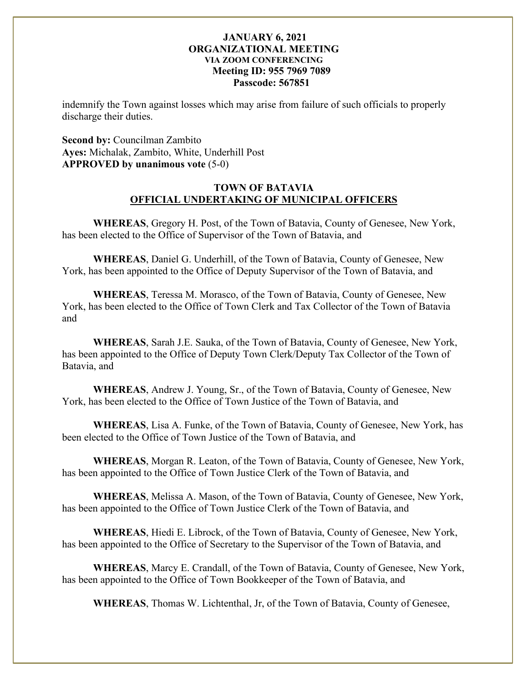indemnify the Town against losses which may arise from failure of such officials to properly discharge their duties.

**Second by:** Councilman Zambito **Ayes:** Michalak, Zambito, White, Underhill Post **APPROVED by unanimous vote** (5-0)

## **TOWN OF BATAVIA OFFICIAL UNDERTAKING OF MUNICIPAL OFFICERS**

**WHEREAS**, Gregory H. Post, of the Town of Batavia, County of Genesee, New York, has been elected to the Office of Supervisor of the Town of Batavia, and

**WHEREAS**, Daniel G. Underhill, of the Town of Batavia, County of Genesee, New York, has been appointed to the Office of Deputy Supervisor of the Town of Batavia, and

**WHEREAS**, Teressa M. Morasco, of the Town of Batavia, County of Genesee, New York, has been elected to the Office of Town Clerk and Tax Collector of the Town of Batavia and

**WHEREAS**, Sarah J.E. Sauka, of the Town of Batavia, County of Genesee, New York, has been appointed to the Office of Deputy Town Clerk/Deputy Tax Collector of the Town of Batavia, and

**WHEREAS**, Andrew J. Young, Sr., of the Town of Batavia, County of Genesee, New York, has been elected to the Office of Town Justice of the Town of Batavia, and

**WHEREAS**, Lisa A. Funke, of the Town of Batavia, County of Genesee, New York, has been elected to the Office of Town Justice of the Town of Batavia, and

**WHEREAS**, Morgan R. Leaton, of the Town of Batavia, County of Genesee, New York, has been appointed to the Office of Town Justice Clerk of the Town of Batavia, and

**WHEREAS**, Melissa A. Mason, of the Town of Batavia, County of Genesee, New York, has been appointed to the Office of Town Justice Clerk of the Town of Batavia, and

**WHEREAS**, Hiedi E. Librock, of the Town of Batavia, County of Genesee, New York, has been appointed to the Office of Secretary to the Supervisor of the Town of Batavia, and

**WHEREAS**, Marcy E. Crandall, of the Town of Batavia, County of Genesee, New York, has been appointed to the Office of Town Bookkeeper of the Town of Batavia, and

**WHEREAS**, Thomas W. Lichtenthal, Jr, of the Town of Batavia, County of Genesee,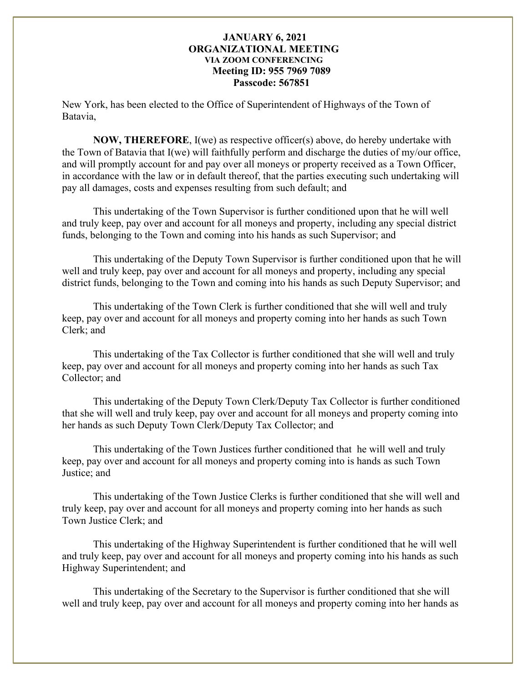New York, has been elected to the Office of Superintendent of Highways of the Town of Batavia,

**NOW, THEREFORE**, I(we) as respective officer(s) above, do hereby undertake with the Town of Batavia that I(we) will faithfully perform and discharge the duties of my/our office, and will promptly account for and pay over all moneys or property received as a Town Officer, in accordance with the law or in default thereof, that the parties executing such undertaking will pay all damages, costs and expenses resulting from such default; and

 This undertaking of the Town Supervisor is further conditioned upon that he will well and truly keep, pay over and account for all moneys and property, including any special district funds, belonging to the Town and coming into his hands as such Supervisor; and

 This undertaking of the Deputy Town Supervisor is further conditioned upon that he will well and truly keep, pay over and account for all moneys and property, including any special district funds, belonging to the Town and coming into his hands as such Deputy Supervisor; and

 This undertaking of the Town Clerk is further conditioned that she will well and truly keep, pay over and account for all moneys and property coming into her hands as such Town Clerk; and

 This undertaking of the Tax Collector is further conditioned that she will well and truly keep, pay over and account for all moneys and property coming into her hands as such Tax Collector; and

 This undertaking of the Deputy Town Clerk/Deputy Tax Collector is further conditioned that she will well and truly keep, pay over and account for all moneys and property coming into her hands as such Deputy Town Clerk/Deputy Tax Collector; and

 This undertaking of the Town Justices further conditioned that he will well and truly keep, pay over and account for all moneys and property coming into is hands as such Town Justice; and

 This undertaking of the Town Justice Clerks is further conditioned that she will well and truly keep, pay over and account for all moneys and property coming into her hands as such Town Justice Clerk; and

 This undertaking of the Highway Superintendent is further conditioned that he will well and truly keep, pay over and account for all moneys and property coming into his hands as such Highway Superintendent; and

 This undertaking of the Secretary to the Supervisor is further conditioned that she will well and truly keep, pay over and account for all moneys and property coming into her hands as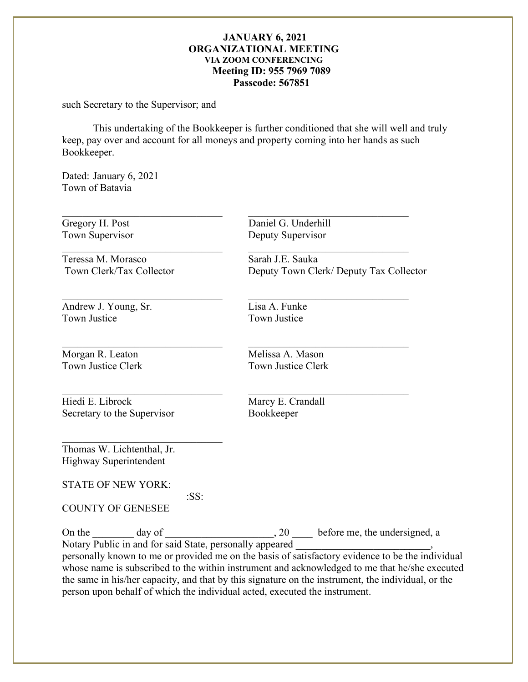such Secretary to the Supervisor; and

 This undertaking of the Bookkeeper is further conditioned that she will well and truly keep, pay over and account for all moneys and property coming into her hands as such Bookkeeper.

Dated: January 6, 2021 Town of Batavia

Teressa M. Morasco Sarah J.E. Sauka

Andrew J. Young, Sr.<br>
Town Justice<br>
Town Justice<br>
Town Justice

Morgan R. Leaton Melissa A. Mason<br>Town Justice Clerk Town Justice Clerk

Hiedi E. Librock Marcy E. Crandall Secretary to the Supervisor Bookkeeper

Gregory H. Post Daniel G. Underhill Town Supervisor **Deputy Supervisor** 

Town Clerk/Tax Collector Deputy Town Clerk/ Deputy Tax Collector

Town Justice

 $\_$ 

 $\_$ 

Town Justice Clerk

Thomas W. Lichtenthal, Jr. Highway Superintendent

STATE OF NEW YORK:

:SS:

 $\mathcal{L}_\text{max}$  , and the set of the set of the set of the set of the set of the set of the set of the set of the set of the set of the set of the set of the set of the set of the set of the set of the set of the set of the

COUNTY OF GENESEE

On the  $\_\_\_\_$  day of  $\_\_\_\_\_\_$ , 20  $\_\_\_\_\$  before me, the undersigned, a Notary Public in and for said State, personally appeared

personally known to me or provided me on the basis of satisfactory evidence to be the individual whose name is subscribed to the within instrument and acknowledged to me that he/she executed the same in his/her capacity, and that by this signature on the instrument, the individual, or the person upon behalf of which the individual acted, executed the instrument.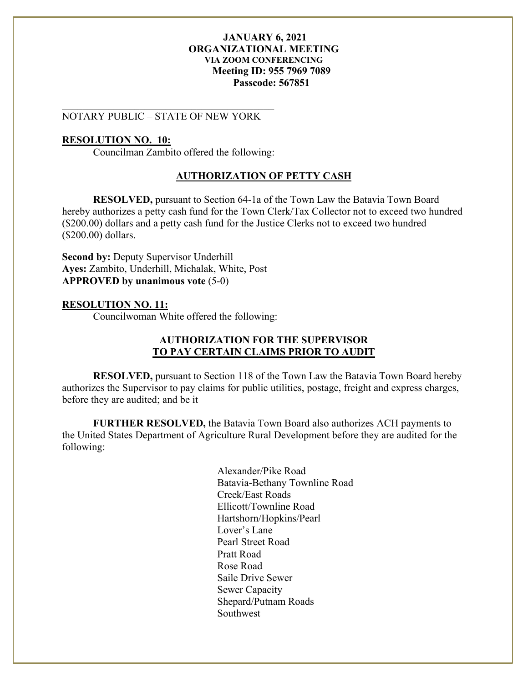## NOTARY PUBLIC – STATE OF NEW YORK

 $\overline{\mathcal{L}}$  , and the contribution of the contribution of  $\overline{\mathcal{L}}$ 

#### **RESOLUTION NO. 10:**

Councilman Zambito offered the following:

#### **AUTHORIZATION OF PETTY CASH**

**RESOLVED,** pursuant to Section 64-1a of the Town Law the Batavia Town Board hereby authorizes a petty cash fund for the Town Clerk/Tax Collector not to exceed two hundred (\$200.00) dollars and a petty cash fund for the Justice Clerks not to exceed two hundred (\$200.00) dollars.

**Second by:** Deputy Supervisor Underhill **Ayes:** Zambito, Underhill, Michalak, White, Post **APPROVED by unanimous vote** (5-0)

#### **RESOLUTION NO. 11:**

Councilwoman White offered the following:

## **AUTHORIZATION FOR THE SUPERVISOR TO PAY CERTAIN CLAIMS PRIOR TO AUDIT**

**RESOLVED,** pursuant to Section 118 of the Town Law the Batavia Town Board hereby authorizes the Supervisor to pay claims for public utilities, postage, freight and express charges, before they are audited; and be it

**FURTHER RESOLVED,** the Batavia Town Board also authorizes ACH payments to the United States Department of Agriculture Rural Development before they are audited for the following:

> Alexander/Pike Road Batavia-Bethany Townline Road Creek/East Roads Ellicott/Townline Road Hartshorn/Hopkins/Pearl Lover's Lane Pearl Street Road Pratt Road Rose Road Saile Drive Sewer Sewer Capacity Shepard/Putnam Roads Southwest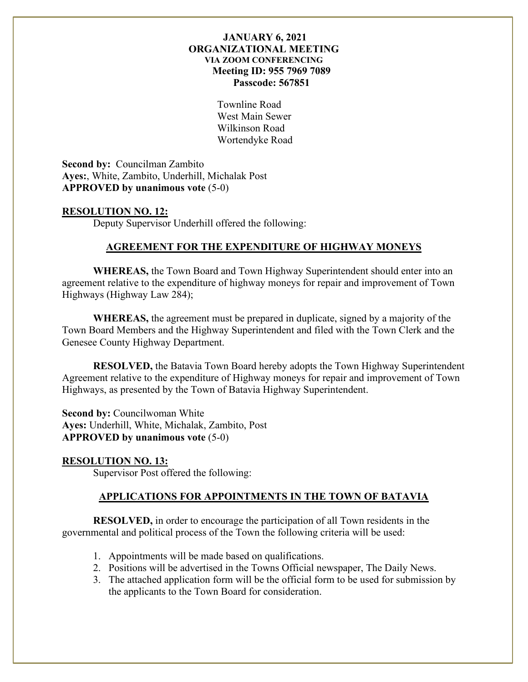Townline Road West Main Sewer Wilkinson Road Wortendyke Road

**Second by:** Councilman Zambito **Ayes:**, White, Zambito, Underhill, Michalak Post **APPROVED by unanimous vote** (5-0)

## **RESOLUTION NO. 12:**

Deputy Supervisor Underhill offered the following:

## **AGREEMENT FOR THE EXPENDITURE OF HIGHWAY MONEYS**

**WHEREAS,** the Town Board and Town Highway Superintendent should enter into an agreement relative to the expenditure of highway moneys for repair and improvement of Town Highways (Highway Law 284);

**WHEREAS,** the agreement must be prepared in duplicate, signed by a majority of the Town Board Members and the Highway Superintendent and filed with the Town Clerk and the Genesee County Highway Department.

**RESOLVED,** the Batavia Town Board hereby adopts the Town Highway Superintendent Agreement relative to the expenditure of Highway moneys for repair and improvement of Town Highways, as presented by the Town of Batavia Highway Superintendent.

**Second by:** Councilwoman White **Ayes:** Underhill, White, Michalak, Zambito, Post **APPROVED by unanimous vote** (5-0)

#### **RESOLUTION NO. 13:**

Supervisor Post offered the following:

#### **APPLICATIONS FOR APPOINTMENTS IN THE TOWN OF BATAVIA**

**RESOLVED,** in order to encourage the participation of all Town residents in the governmental and political process of the Town the following criteria will be used:

- 1. Appointments will be made based on qualifications.
- 2. Positions will be advertised in the Towns Official newspaper, The Daily News.
- 3. The attached application form will be the official form to be used for submission by the applicants to the Town Board for consideration.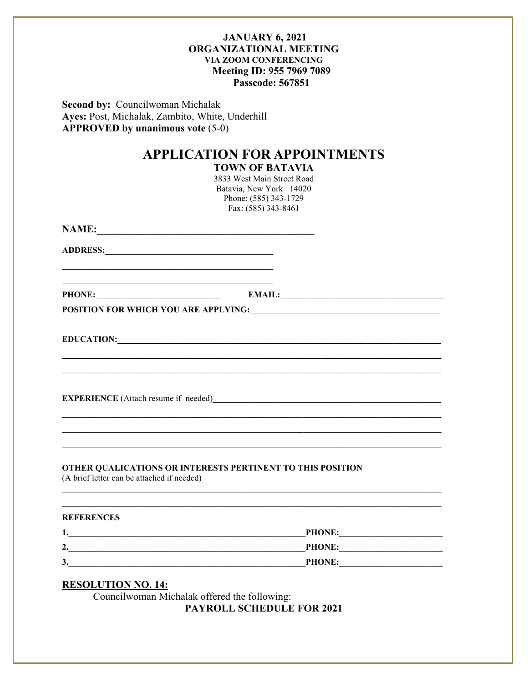**Second by: Councilwoman Michalak** Ayes: Post, Michalak, Zambito, White, Underhill **APPROVED by unanimous vote (5-0)** 

# **APPLICATION FOR APPOINTMENTS**

**TOWN OF BATAVIA** 

3833 West Main Street Road Batavia, New York 14020 Phone: (585) 343-1729 Fax: (585) 343-8461

ADDRESS:

PHONE: EMAIL: EMAIL:

EDUCATION: University of the contract of the contract of the contract of the contract of the contract of the contract of the contract of the contract of the contract of the contract of the contract of the contract of the c

**EXPERIENCE** (Attach resume if needed)

#### OTHER QUALICATIONS OR INTERESTS PERTINENT TO THIS POSITION

(A brief letter can be attached if needed)

#### **REFERENCES**

| . .              | <b>PHONE:</b> |
|------------------|---------------|
| $\overline{2}$ . | <b>PHONE:</b> |
| 3.               | <b>PHONE:</b> |

## **RESOLUTION NO. 14:**

Councilwoman Michalak offered the following: **PAYROLL SCHEDULE FOR 2021**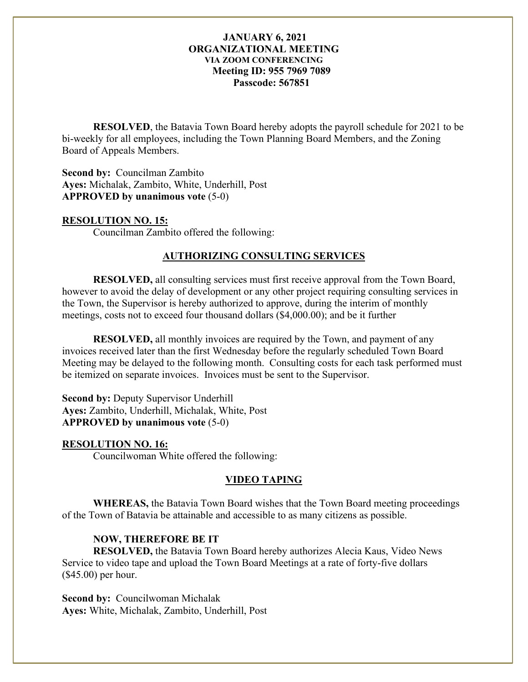**RESOLVED**, the Batavia Town Board hereby adopts the payroll schedule for 2021 to be bi-weekly for all employees, including the Town Planning Board Members, and the Zoning Board of Appeals Members.

**Second by:** Councilman Zambito **Ayes:** Michalak, Zambito, White, Underhill, Post **APPROVED by unanimous vote** (5-0)

#### **RESOLUTION NO. 15:**

Councilman Zambito offered the following:

#### **AUTHORIZING CONSULTING SERVICES**

**RESOLVED,** all consulting services must first receive approval from the Town Board, however to avoid the delay of development or any other project requiring consulting services in the Town, the Supervisor is hereby authorized to approve, during the interim of monthly meetings, costs not to exceed four thousand dollars (\$4,000.00); and be it further

**RESOLVED,** all monthly invoices are required by the Town, and payment of any invoices received later than the first Wednesday before the regularly scheduled Town Board Meeting may be delayed to the following month. Consulting costs for each task performed must be itemized on separate invoices. Invoices must be sent to the Supervisor.

**Second by: Deputy Supervisor Underhill Ayes:** Zambito, Underhill, Michalak, White, Post **APPROVED by unanimous vote** (5-0)

#### **RESOLUTION NO. 16:**

Councilwoman White offered the following:

#### **VIDEO TAPING**

**WHEREAS,** the Batavia Town Board wishes that the Town Board meeting proceedings of the Town of Batavia be attainable and accessible to as many citizens as possible.

#### **NOW, THEREFORE BE IT**

**RESOLVED,** the Batavia Town Board hereby authorizes Alecia Kaus, Video News Service to video tape and upload the Town Board Meetings at a rate of forty-five dollars (\$45.00) per hour.

**Second by:** Councilwoman Michalak **Ayes:** White, Michalak, Zambito, Underhill, Post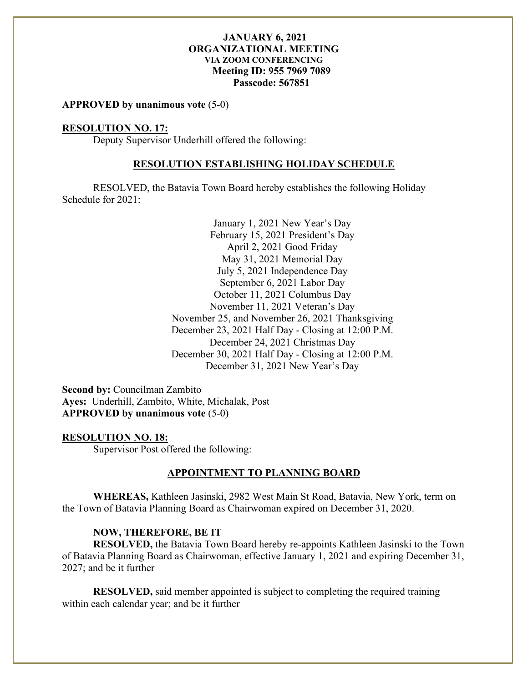**APPROVED by unanimous vote** (5-0)

#### **RESOLUTION NO. 17:**

Deputy Supervisor Underhill offered the following:

#### **RESOLUTION ESTABLISHING HOLIDAY SCHEDULE**

RESOLVED, the Batavia Town Board hereby establishes the following Holiday Schedule for 2021:

> January 1, 2021 New Year's Day February 15, 2021 President's Day April 2, 2021 Good Friday May 31, 2021 Memorial Day July 5, 2021 Independence Day September 6, 2021 Labor Day October 11, 2021 Columbus Day November 11, 2021 Veteran's Day November 25, and November 26, 2021 Thanksgiving December 23, 2021 Half Day - Closing at 12:00 P.M. December 24, 2021 Christmas Day December 30, 2021 Half Day - Closing at 12:00 P.M. December 31, 2021 New Year's Day

**Second by:** Councilman Zambito **Ayes:** Underhill, Zambito, White, Michalak, Post **APPROVED by unanimous vote** (5-0)

#### **RESOLUTION NO. 18:**

Supervisor Post offered the following:

#### **APPOINTMENT TO PLANNING BOARD**

**WHEREAS,** Kathleen Jasinski, 2982 West Main St Road, Batavia, New York, term on the Town of Batavia Planning Board as Chairwoman expired on December 31, 2020.

#### **NOW, THEREFORE, BE IT**

**RESOLVED,** the Batavia Town Board hereby re-appoints Kathleen Jasinski to the Town of Batavia Planning Board as Chairwoman, effective January 1, 2021 and expiring December 31, 2027; and be it further

**RESOLVED,** said member appointed is subject to completing the required training within each calendar year; and be it further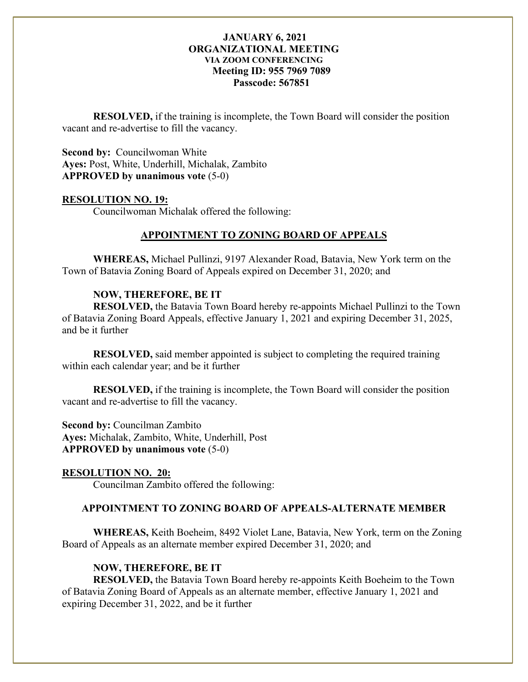**RESOLVED,** if the training is incomplete, the Town Board will consider the position vacant and re-advertise to fill the vacancy.

**Second by:** Councilwoman White **Ayes:** Post, White, Underhill, Michalak, Zambito **APPROVED by unanimous vote** (5-0)

#### **RESOLUTION NO. 19:**

Councilwoman Michalak offered the following:

# **APPOINTMENT TO ZONING BOARD OF APPEALS**

**WHEREAS,** Michael Pullinzi, 9197 Alexander Road, Batavia, New York term on the Town of Batavia Zoning Board of Appeals expired on December 31, 2020; and

# **NOW, THEREFORE, BE IT**

**RESOLVED,** the Batavia Town Board hereby re-appoints Michael Pullinzi to the Town of Batavia Zoning Board Appeals, effective January 1, 2021 and expiring December 31, 2025, and be it further

**RESOLVED,** said member appointed is subject to completing the required training within each calendar year; and be it further

**RESOLVED,** if the training is incomplete, the Town Board will consider the position vacant and re-advertise to fill the vacancy.

**Second by:** Councilman Zambito **Ayes:** Michalak, Zambito, White, Underhill, Post **APPROVED by unanimous vote** (5-0)

## **RESOLUTION NO. 20:**

Councilman Zambito offered the following:

# **APPOINTMENT TO ZONING BOARD OF APPEALS-ALTERNATE MEMBER**

**WHEREAS,** Keith Boeheim, 8492 Violet Lane, Batavia, New York, term on the Zoning Board of Appeals as an alternate member expired December 31, 2020; and

## **NOW, THEREFORE, BE IT**

**RESOLVED,** the Batavia Town Board hereby re-appoints Keith Boeheim to the Town of Batavia Zoning Board of Appeals as an alternate member, effective January 1, 2021 and expiring December 31, 2022, and be it further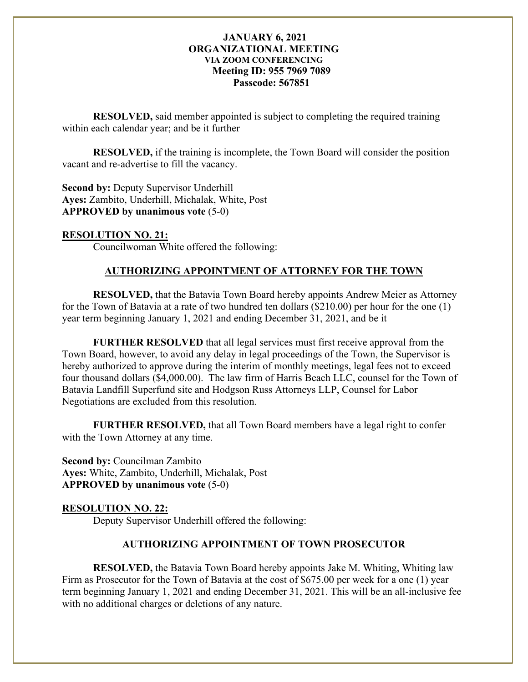**RESOLVED,** said member appointed is subject to completing the required training within each calendar year; and be it further

**RESOLVED,** if the training is incomplete, the Town Board will consider the position vacant and re-advertise to fill the vacancy.

**Second by: Deputy Supervisor Underhill Ayes:** Zambito, Underhill, Michalak, White, Post **APPROVED by unanimous vote** (5-0)

# **RESOLUTION NO. 21:**

Councilwoman White offered the following:

# **AUTHORIZING APPOINTMENT OF ATTORNEY FOR THE TOWN**

**RESOLVED,** that the Batavia Town Board hereby appoints Andrew Meier as Attorney for the Town of Batavia at a rate of two hundred ten dollars (\$210.00) per hour for the one (1) year term beginning January 1, 2021 and ending December 31, 2021, and be it

**FURTHER RESOLVED** that all legal services must first receive approval from the Town Board, however, to avoid any delay in legal proceedings of the Town, the Supervisor is hereby authorized to approve during the interim of monthly meetings, legal fees not to exceed four thousand dollars (\$4,000.00). The law firm of Harris Beach LLC, counsel for the Town of Batavia Landfill Superfund site and Hodgson Russ Attorneys LLP, Counsel for Labor Negotiations are excluded from this resolution.

**FURTHER RESOLVED,** that all Town Board members have a legal right to confer with the Town Attorney at any time.

**Second by:** Councilman Zambito **Ayes:** White, Zambito, Underhill, Michalak, Post **APPROVED by unanimous vote** (5-0)

## **RESOLUTION NO. 22:**

Deputy Supervisor Underhill offered the following:

## **AUTHORIZING APPOINTMENT OF TOWN PROSECUTOR**

**RESOLVED,** the Batavia Town Board hereby appoints Jake M. Whiting, Whiting law Firm as Prosecutor for the Town of Batavia at the cost of \$675.00 per week for a one (1) year term beginning January 1, 2021 and ending December 31, 2021. This will be an all-inclusive fee with no additional charges or deletions of any nature.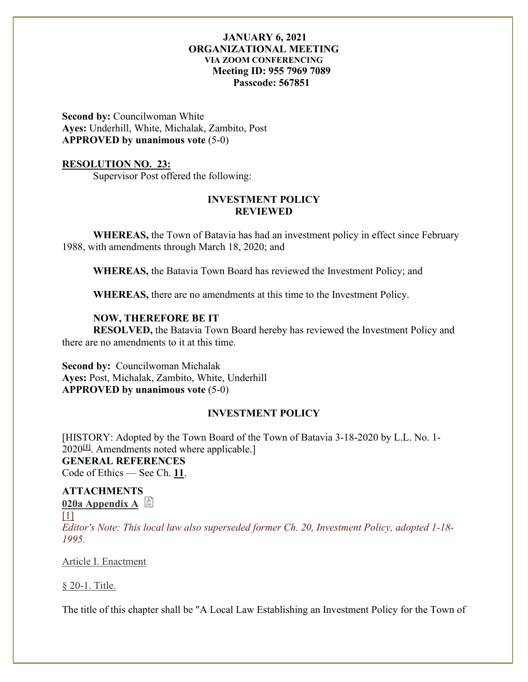**Second by: Councilwoman White Ayes:** Underhill, White, Michalak, Zambito, Post **APPROVED by unanimous vote** (5-0)

#### **RESOLUTION NO. 23:**

Supervisor Post offered the following:

# **INVESTMENT POLICY REVIEWED**

**WHEREAS,** the Town of Batavia has had an investment policy in effect since February 1988, with amendments through March 18, 2020; and

**WHEREAS,** the Batavia Town Board has reviewed the Investment Policy; and

**WHEREAS,** there are no amendments at this time to the Investment Policy.

#### **NOW, THEREFORE BE IT**

**RESOLVED,** the Batavia Town Board hereby has reviewed the Investment Policy and there are no amendments to it at this time.

**Second by:** Councilwoman Michalak **Ayes:** Post, Michalak, Zambito, White, Underhill **APPROVED by unanimous vote** (5-0)

# **INVESTMENT POLICY**

[HISTORY: Adopted by the Town Board of the Town of Batavia 3-18-2020 by L.L. No. 1- 2020**[\[1\]](https://ecode360.com/print/BA1901?guid=8980062&children=true#ft8980062-1)**. Amendments noted where applicable.] **GENERAL REFERENCES** Code of Ethics — See Ch. **[11](https://ecode360.com/print/8980025#8980025)**.

# **ATTACHMENT[S](https://ecode360.com/attachment/BA1901/BA1901-020a%20Appendix%20A.pdf)**

**[020a Appendix A](https://ecode360.com/attachment/BA1901/BA1901-020a%20Appendix%20A.pdf)**

#### $[1]$

*Editor's Note: This local law also superseded former Ch. 20, Investment Policy, adopted 1-18- 1995.* 

#### [Article I. Enactment](https://ecode360.com/print/BA1901?guid=8980062&children=true#35928255)

[§ 20-1. Title.](https://ecode360.com/print/BA1901?guid=8980062&children=true#35928256)

The title of this chapter shall be "A Local Law Establishing an Investment Policy for the Town of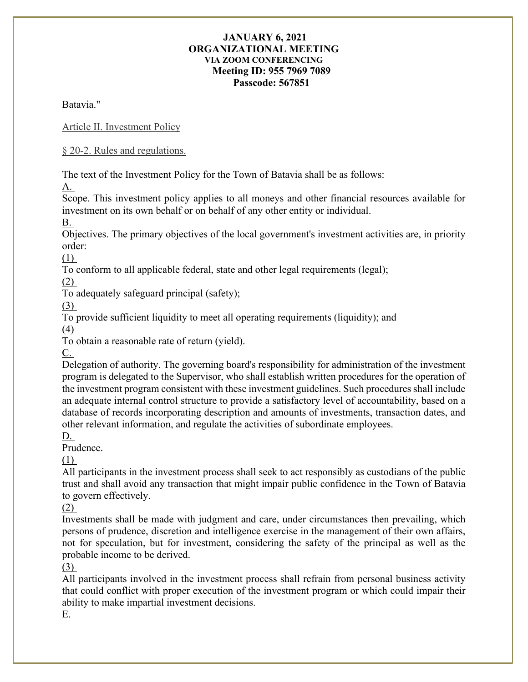Batavia."

[Article II. Investment Policy](https://ecode360.com/print/BA1901?guid=8980062&children=true#35928257)

[§ 20-2. Rules and regulations.](https://ecode360.com/print/BA1901?guid=8980062&children=true#35928258)

The text of the Investment Policy for the Town of Batavia shall be as follows: [A.](https://ecode360.com/print/35928259#35928259)

Scope. This investment policy applies to all moneys and other financial resources available for investment on its own behalf or on behalf of any other entity or individual.

[B.](https://ecode360.com/print/35928260#35928260)

Objectives. The primary objectives of the local government's investment activities are, in priority order:

[\(1\)](https://ecode360.com/print/35928261#35928261)

To conform to all applicable federal, state and other legal requirements (legal);

[\(2\)](https://ecode360.com/print/35928262#35928262)

To adequately safeguard principal (safety);

[\(3\)](https://ecode360.com/print/35928263#35928263)

To provide sufficient liquidity to meet all operating requirements (liquidity); and

[\(4\)](https://ecode360.com/print/35928264#35928264)

To obtain a reasonable rate of return (yield).

[C.](https://ecode360.com/print/35928265#35928265)

Delegation of authority. The governing board's responsibility for administration of the investment program is delegated to the Supervisor, who shall establish written procedures for the operation of the investment program consistent with these investment guidelines. Such procedures shall include an adequate internal control structure to provide a satisfactory level of accountability, based on a database of records incorporating description and amounts of investments, transaction dates, and other relevant information, and regulate the activities of subordinate employees.

[D.](https://ecode360.com/print/35928266#35928266)

Prudence.

[\(1\)](https://ecode360.com/print/35928267#35928267)

All participants in the investment process shall seek to act responsibly as custodians of the public trust and shall avoid any transaction that might impair public confidence in the Town of Batavia to govern effectively.

[\(2\)](https://ecode360.com/print/35928268#35928268)

Investments shall be made with judgment and care, under circumstances then prevailing, which persons of prudence, discretion and intelligence exercise in the management of their own affairs, not for speculation, but for investment, considering the safety of the principal as well as the probable income to be derived.

[\(3\)](https://ecode360.com/print/35928269#35928269)

All participants involved in the investment process shall refrain from personal business activity that could conflict with proper execution of the investment program or which could impair their ability to make impartial investment decisions.

[E.](https://ecode360.com/print/35928270#35928270)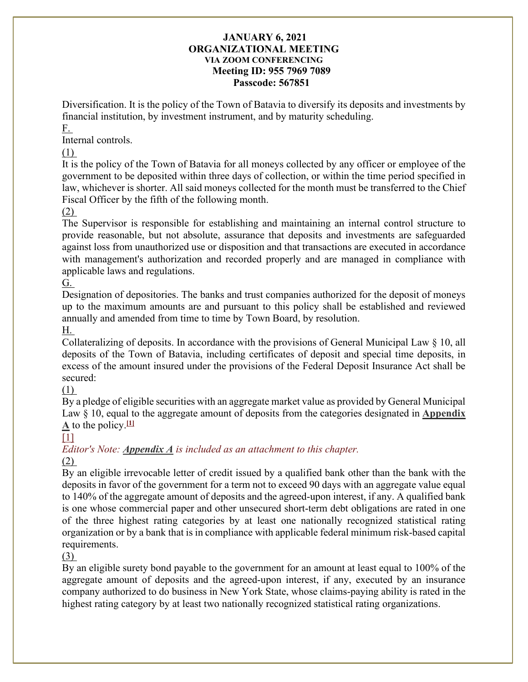Diversification. It is the policy of the Town of Batavia to diversify its deposits and investments by financial institution, by investment instrument, and by maturity scheduling.

[F.](https://ecode360.com/print/35928271#35928271)

Internal controls.

# [\(1\)](https://ecode360.com/print/35928272#35928272)

It is the policy of the Town of Batavia for all moneys collected by any officer or employee of the government to be deposited within three days of collection, or within the time period specified in law, whichever is shorter. All said moneys collected for the month must be transferred to the Chief Fiscal Officer by the fifth of the following month.

# [\(2\)](https://ecode360.com/print/35928273#35928273)

The Supervisor is responsible for establishing and maintaining an internal control structure to provide reasonable, but not absolute, assurance that deposits and investments are safeguarded against loss from unauthorized use or disposition and that transactions are executed in accordance with management's authorization and recorded properly and are managed in compliance with applicable laws and regulations.

# [G.](https://ecode360.com/print/35928274#35928274)

Designation of depositories. The banks and trust companies authorized for the deposit of moneys up to the maximum amounts are and pursuant to this policy shall be established and reviewed annually and amended from time to time by Town Board, by resolution.

# [H.](https://ecode360.com/print/35928275#35928275)

Collateralizing of deposits. In accordance with the provisions of General Municipal Law § 10, all deposits of the Town of Batavia, including certificates of deposit and special time deposits, in excess of the amount insured under the provisions of the Federal Deposit Insurance Act shall be secured:

# [\(1\)](https://ecode360.com/print/35928276#35928276)

By a pledge of eligible securities with an aggregate market value as provided by General Municipal Law § 10, equal to the aggregate amount of deposits from the categories designated in **[Appendix](https://ecode360.com/attachment/BA1901/BA1901-020a%20Appendix%20A.pdf)**   $\underline{A}$  $\underline{A}$  $\underline{A}$  to the policy.<sup>[\[1\]](https://ecode360.com/print/BA1901?guid=8980062&children=true#ft35928276-1)</sup>

# $[1]$

# *Editor's Note: [Appendix A](https://ecode360.com/attachment/BA1901/BA1901-020a%20Appendix%20A.pdf) is included as an attachment to this chapter.*

# [\(2\)](https://ecode360.com/print/35928277#35928277)

By an eligible irrevocable letter of credit issued by a qualified bank other than the bank with the deposits in favor of the government for a term not to exceed 90 days with an aggregate value equal to 140% of the aggregate amount of deposits and the agreed-upon interest, if any. A qualified bank is one whose commercial paper and other unsecured short-term debt obligations are rated in one of the three highest rating categories by at least one nationally recognized statistical rating organization or by a bank that is in compliance with applicable federal minimum risk-based capital requirements.

# [\(3\)](https://ecode360.com/print/35928278#35928278)

By an eligible surety bond payable to the government for an amount at least equal to 100% of the aggregate amount of deposits and the agreed-upon interest, if any, executed by an insurance company authorized to do business in New York State, whose claims-paying ability is rated in the highest rating category by at least two nationally recognized statistical rating organizations.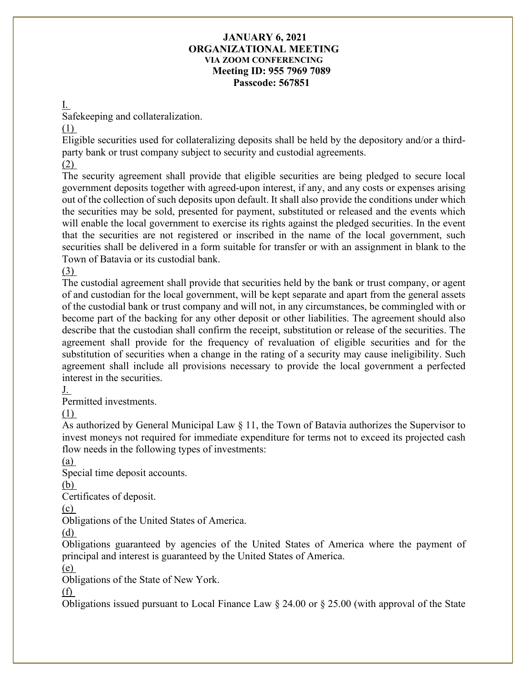#### [I.](https://ecode360.com/print/35928279#35928279)

Safekeeping and collateralization.

## [\(1\)](https://ecode360.com/print/35928280#35928280)

Eligible securities used for collateralizing deposits shall be held by the depository and/or a thirdparty bank or trust company subject to security and custodial agreements.

# [\(2\)](https://ecode360.com/print/35928281#35928281)

The security agreement shall provide that eligible securities are being pledged to secure local government deposits together with agreed-upon interest, if any, and any costs or expenses arising out of the collection of such deposits upon default. It shall also provide the conditions under which the securities may be sold, presented for payment, substituted or released and the events which will enable the local government to exercise its rights against the pledged securities. In the event that the securities are not registered or inscribed in the name of the local government, such securities shall be delivered in a form suitable for transfer or with an assignment in blank to the Town of Batavia or its custodial bank.

# [\(3\)](https://ecode360.com/print/35928282#35928282)

The custodial agreement shall provide that securities held by the bank or trust company, or agent of and custodian for the local government, will be kept separate and apart from the general assets of the custodial bank or trust company and will not, in any circumstances, be commingled with or become part of the backing for any other deposit or other liabilities. The agreement should also describe that the custodian shall confirm the receipt, substitution or release of the securities. The agreement shall provide for the frequency of revaluation of eligible securities and for the substitution of securities when a change in the rating of a security may cause ineligibility. Such agreement shall include all provisions necessary to provide the local government a perfected interest in the securities.

[J.](https://ecode360.com/print/35928283#35928283)

Permitted investments.

[\(1\)](https://ecode360.com/print/35928284#35928284)

As authorized by General Municipal Law § 11, the Town of Batavia authorizes the Supervisor to invest moneys not required for immediate expenditure for terms not to exceed its projected cash flow needs in the following types of investments:

## [\(a\)](https://ecode360.com/print/35928285#35928285)

Special time deposit accounts.

## [\(b\)](https://ecode360.com/print/35928286#35928286)

Certificates of deposit.

[\(c\)](https://ecode360.com/print/35928287#35928287)

Obligations of the United States of America.

[\(d\)](https://ecode360.com/print/35928288#35928288)

Obligations guaranteed by agencies of the United States of America where the payment of principal and interest is guaranteed by the United States of America.

[\(e\)](https://ecode360.com/print/35928289#35928289)

Obligations of the State of New York.

## [\(f\)](https://ecode360.com/print/35928290#35928290)

Obligations issued pursuant to Local Finance Law § 24.00 or § 25.00 (with approval of the State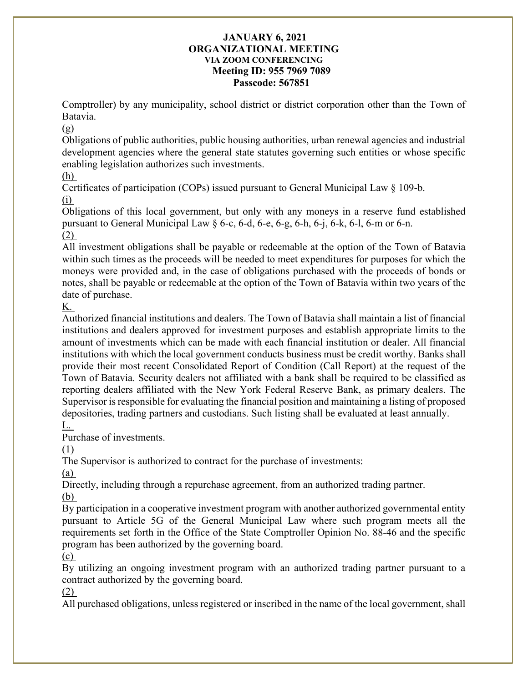Comptroller) by any municipality, school district or district corporation other than the Town of Batavia.

# $(g)$

Obligations of public authorities, public housing authorities, urban renewal agencies and industrial development agencies where the general state statutes governing such entities or whose specific enabling legislation authorizes such investments.

# [\(h\)](https://ecode360.com/print/35928292#35928292)

Certificates of participation (COPs) issued pursuant to General Municipal Law § 109-b.

# [\(i\)](https://ecode360.com/print/35928293#35928293)

Obligations of this local government, but only with any moneys in a reserve fund established pursuant to General Municipal Law  $\S$  6-c, 6-d, 6-e, 6-g, 6-h, 6-j, 6-k, 6-l, 6-m or 6-n.

# [\(2\)](https://ecode360.com/print/35928294#35928294)

All investment obligations shall be payable or redeemable at the option of the Town of Batavia within such times as the proceeds will be needed to meet expenditures for purposes for which the moneys were provided and, in the case of obligations purchased with the proceeds of bonds or notes, shall be payable or redeemable at the option of the Town of Batavia within two years of the date of purchase.

# [K.](https://ecode360.com/print/35928295#35928295)

Authorized financial institutions and dealers. The Town of Batavia shall maintain a list of financial institutions and dealers approved for investment purposes and establish appropriate limits to the amount of investments which can be made with each financial institution or dealer. All financial institutions with which the local government conducts business must be credit worthy. Banks shall provide their most recent Consolidated Report of Condition (Call Report) at the request of the Town of Batavia. Security dealers not affiliated with a bank shall be required to be classified as reporting dealers affiliated with the New York Federal Reserve Bank, as primary dealers. The Supervisor is responsible for evaluating the financial position and maintaining a listing of proposed depositories, trading partners and custodians. Such listing shall be evaluated at least annually.

# [L.](https://ecode360.com/print/35928296#35928296)

Purchase of investments.

# [\(1\)](https://ecode360.com/print/35928297#35928297)

The Supervisor is authorized to contract for the purchase of investments:

# [\(a\)](https://ecode360.com/print/35928298#35928298)

Directly, including through a repurchase agreement, from an authorized trading partner. [\(b\)](https://ecode360.com/print/35928299#35928299)

By participation in a cooperative investment program with another authorized governmental entity pursuant to Article 5G of the General Municipal Law where such program meets all the requirements set forth in the Office of the State Comptroller Opinion No. 88-46 and the specific program has been authorized by the governing board.

# [\(c\)](https://ecode360.com/print/35928300#35928300)

By utilizing an ongoing investment program with an authorized trading partner pursuant to a contract authorized by the governing board.

# [\(2\)](https://ecode360.com/print/35928301#35928301)

All purchased obligations, unless registered or inscribed in the name of the local government, shall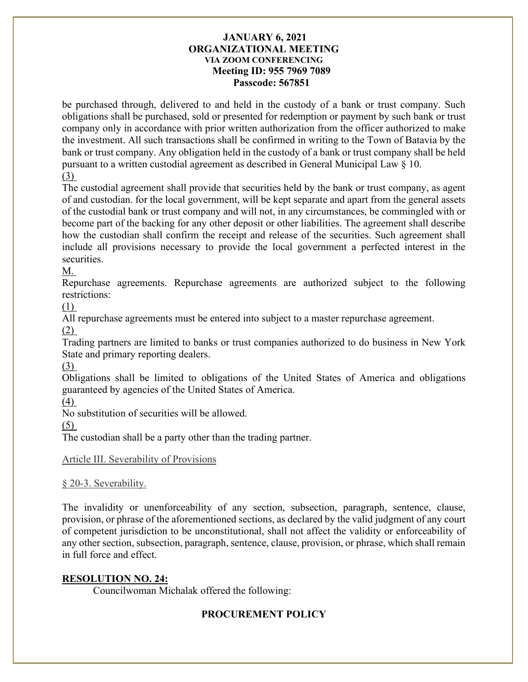be purchased through, delivered to and held in the custody of a bank or trust company. Such obligations shall be purchased, sold or presented for redemption or payment by such bank or trust company only in accordance with prior written authorization from the officer authorized to make the investment. All such transactions shall be confirmed in writing to the Town of Batavia by the bank or trust company. Any obligation held in the custody of a bank or trust company shall be held pursuant to a written custodial agreement as described in General Municipal Law § 10.

# [\(3\)](https://ecode360.com/print/35928302#35928302)

The custodial agreement shall provide that securities held by the bank or trust company, as agent of and custodian. for the local government, will be kept separate and apart from the general assets of the custodial bank or trust company and will not, in any circumstances, be commingled with or become part of the backing for any other deposit or other liabilities. The agreement shall describe how the custodian shall confirm the receipt and release of the securities. Such agreement shall include all provisions necessary to provide the local government a perfected interest in the securities.

# [M.](https://ecode360.com/print/35928303#35928303)

Repurchase agreements. Repurchase agreements are authorized subject to the following restrictions:

[\(1\)](https://ecode360.com/print/35928304#35928304)

All repurchase agreements must be entered into subject to a master repurchase agreement.

[\(2\)](https://ecode360.com/print/35928305#35928305)

Trading partners are limited to banks or trust companies authorized to do business in New York State and primary reporting dealers.

[\(3\)](https://ecode360.com/print/35928306#35928306)

Obligations shall be limited to obligations of the United States of America and obligations guaranteed by agencies of the United States of America.

[\(4\)](https://ecode360.com/print/35928307#35928307)

No substitution of securities will be allowed.

[\(5\)](https://ecode360.com/print/35928308#35928308)

The custodian shall be a party other than the trading partner.

## [Article III. Severability of Provisions](https://ecode360.com/print/BA1901?guid=8980062&children=true#35928309)

## [§ 20-3. Severability.](https://ecode360.com/print/BA1901?guid=8980062&children=true#35928310)

The invalidity or unenforceability of any section, subsection, paragraph, sentence, clause, provision, or phrase of the aforementioned sections, as declared by the valid judgment of any court of competent jurisdiction to be unconstitutional, shall not affect the validity or enforceability of any other section, subsection, paragraph, sentence, clause, provision, or phrase, which shall remain in full force and effect.

# **RESOLUTION NO. 24:**

Councilwoman Michalak offered the following:

# **PROCUREMENT POLICY**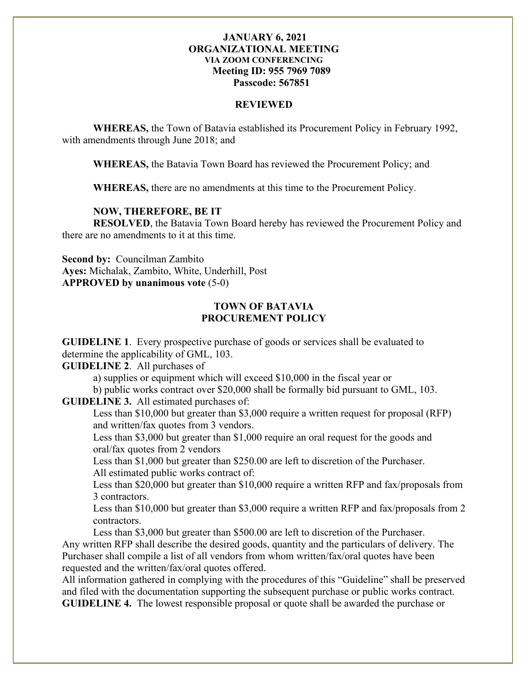#### **REVIEWED**

**WHEREAS,** the Town of Batavia established its Procurement Policy in February 1992, with amendments through June 2018; and

**WHEREAS,** the Batavia Town Board has reviewed the Procurement Policy; and

**WHEREAS,** there are no amendments at this time to the Procurement Policy.

#### **NOW, THEREFORE, BE IT**

**RESOLVED**, the Batavia Town Board hereby has reviewed the Procurement Policy and there are no amendments to it at this time.

**Second by:** Councilman Zambito **Ayes:** Michalak, Zambito, White, Underhill, Post **APPROVED by unanimous vote** (5-0)

#### **TOWN OF BATAVIA PROCUREMENT POLICY**

**GUIDELINE 1**. Every prospective purchase of goods or services shall be evaluated to determine the applicability of GML, 103.

**GUIDELINE 2**. All purchases of

a) supplies or equipment which will exceed \$10,000 in the fiscal year or

b) public works contract over \$20,000 shall be formally bid pursuant to GML, 103.

**GUIDELINE 3.** All estimated purchases of:

Less than \$10,000 but greater than \$3,000 require a written request for proposal (RFP) and written/fax quotes from 3 vendors.

Less than \$3,000 but greater than \$1,000 require an oral request for the goods and oral/fax quotes from 2 vendors

Less than \$1,000 but greater than \$250.00 are left to discretion of the Purchaser. All estimated public works contract of:

Less than \$20,000 but greater than \$10,000 require a written RFP and fax/proposals from 3 contractors.

Less than \$10,000 but greater than \$3,000 require a written RFP and fax/proposals from 2 contractors.

Less than \$3,000 but greater than \$500.00 are left to discretion of the Purchaser. Any written RFP shall describe the desired goods, quantity and the particulars of delivery. The Purchaser shall compile a list of all vendors from whom written/fax/oral quotes have been requested and the written/fax/oral quotes offered.

All information gathered in complying with the procedures of this "Guideline" shall be preserved and filed with the documentation supporting the subsequent purchase or public works contract. **GUIDELINE 4.** The lowest responsible proposal or quote shall be awarded the purchase or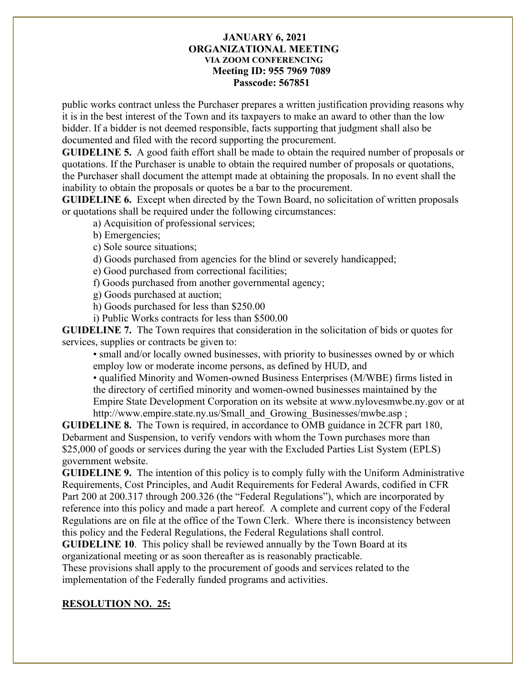public works contract unless the Purchaser prepares a written justification providing reasons why it is in the best interest of the Town and its taxpayers to make an award to other than the low bidder. If a bidder is not deemed responsible, facts supporting that judgment shall also be documented and filed with the record supporting the procurement.

**GUIDELINE 5.** A good faith effort shall be made to obtain the required number of proposals or quotations. If the Purchaser is unable to obtain the required number of proposals or quotations, the Purchaser shall document the attempt made at obtaining the proposals. In no event shall the inability to obtain the proposals or quotes be a bar to the procurement.

**GUIDELINE 6.** Except when directed by the Town Board, no solicitation of written proposals or quotations shall be required under the following circumstances:

a) Acquisition of professional services;

b) Emergencies;

c) Sole source situations;

d) Goods purchased from agencies for the blind or severely handicapped;

e) Good purchased from correctional facilities;

f) Goods purchased from another governmental agency;

g) Goods purchased at auction;

h) Goods purchased for less than \$250.00

i) Public Works contracts for less than \$500.00

**GUIDELINE 7.** The Town requires that consideration in the solicitation of bids or quotes for services, supplies or contracts be given to:

• small and/or locally owned businesses, with priority to businesses owned by or which employ low or moderate income persons, as defined by HUD, and

• qualified Minority and Women-owned Business Enterprises (M/WBE) firms listed in the directory of certified minority and women-owned businesses maintained by the Empire State Development Corporation on its website at www.nylovesmwbe.ny.gov or at http://www.empire.state.ny.us/Small\_and\_Growing\_Businesses/mwbe.asp;

**GUIDELINE 8.** The Town is required, in accordance to OMB guidance in 2CFR part 180, Debarment and Suspension, to verify vendors with whom the Town purchases more than \$25,000 of goods or services during the year with the Excluded Parties List System (EPLS) government website.

**GUIDELINE 9.** The intention of this policy is to comply fully with the Uniform Administrative Requirements, Cost Principles, and Audit Requirements for Federal Awards, codified in CFR Part 200 at 200.317 through 200.326 (the "Federal Regulations"), which are incorporated by reference into this policy and made a part hereof. A complete and current copy of the Federal Regulations are on file at the office of the Town Clerk. Where there is inconsistency between this policy and the Federal Regulations, the Federal Regulations shall control.

**GUIDELINE 10**. This policy shall be reviewed annually by the Town Board at its organizational meeting or as soon thereafter as is reasonably practicable.

These provisions shall apply to the procurement of goods and services related to the implementation of the Federally funded programs and activities.

## **RESOLUTION NO. 25:**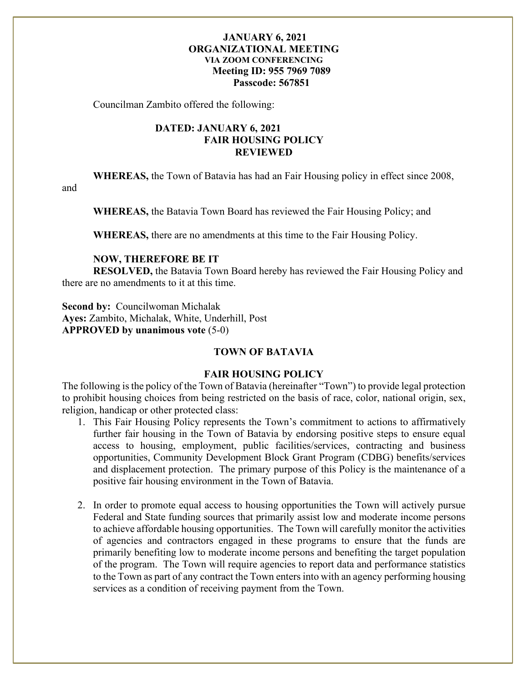Councilman Zambito offered the following:

# **DATED: JANUARY 6, 2021 FAIR HOUSING POLICY REVIEWED**

**WHEREAS,** the Town of Batavia has had an Fair Housing policy in effect since 2008,

and

**WHEREAS,** the Batavia Town Board has reviewed the Fair Housing Policy; and

**WHEREAS,** there are no amendments at this time to the Fair Housing Policy.

#### **NOW, THEREFORE BE IT**

**RESOLVED,** the Batavia Town Board hereby has reviewed the Fair Housing Policy and there are no amendments to it at this time.

**Second by:** Councilwoman Michalak **Ayes:** Zambito, Michalak, White, Underhill, Post **APPROVED by unanimous vote** (5-0)

# **TOWN OF BATAVIA**

#### **FAIR HOUSING POLICY**

The following is the policy of the Town of Batavia (hereinafter "Town") to provide legal protection to prohibit housing choices from being restricted on the basis of race, color, national origin, sex, religion, handicap or other protected class:

- 1. This Fair Housing Policy represents the Town's commitment to actions to affirmatively further fair housing in the Town of Batavia by endorsing positive steps to ensure equal access to housing, employment, public facilities/services, contracting and business opportunities, Community Development Block Grant Program (CDBG) benefits/services and displacement protection. The primary purpose of this Policy is the maintenance of a positive fair housing environment in the Town of Batavia.
- 2. In order to promote equal access to housing opportunities the Town will actively pursue Federal and State funding sources that primarily assist low and moderate income persons to achieve affordable housing opportunities. The Town will carefully monitor the activities of agencies and contractors engaged in these programs to ensure that the funds are primarily benefiting low to moderate income persons and benefiting the target population of the program. The Town will require agencies to report data and performance statistics to the Town as part of any contract the Town enters into with an agency performing housing services as a condition of receiving payment from the Town.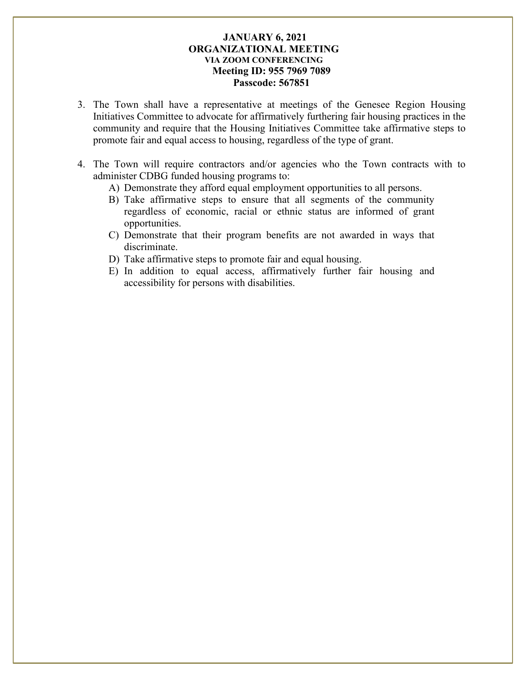- 3. The Town shall have a representative at meetings of the Genesee Region Housing Initiatives Committee to advocate for affirmatively furthering fair housing practices in the community and require that the Housing Initiatives Committee take affirmative steps to promote fair and equal access to housing, regardless of the type of grant.
- 4. The Town will require contractors and/or agencies who the Town contracts with to administer CDBG funded housing programs to:
	- A) Demonstrate they afford equal employment opportunities to all persons.
	- B) Take affirmative steps to ensure that all segments of the community regardless of economic, racial or ethnic status are informed of grant opportunities.
	- C) Demonstrate that their program benefits are not awarded in ways that discriminate.
	- D) Take affirmative steps to promote fair and equal housing.
	- E) In addition to equal access, affirmatively further fair housing and accessibility for persons with disabilities.